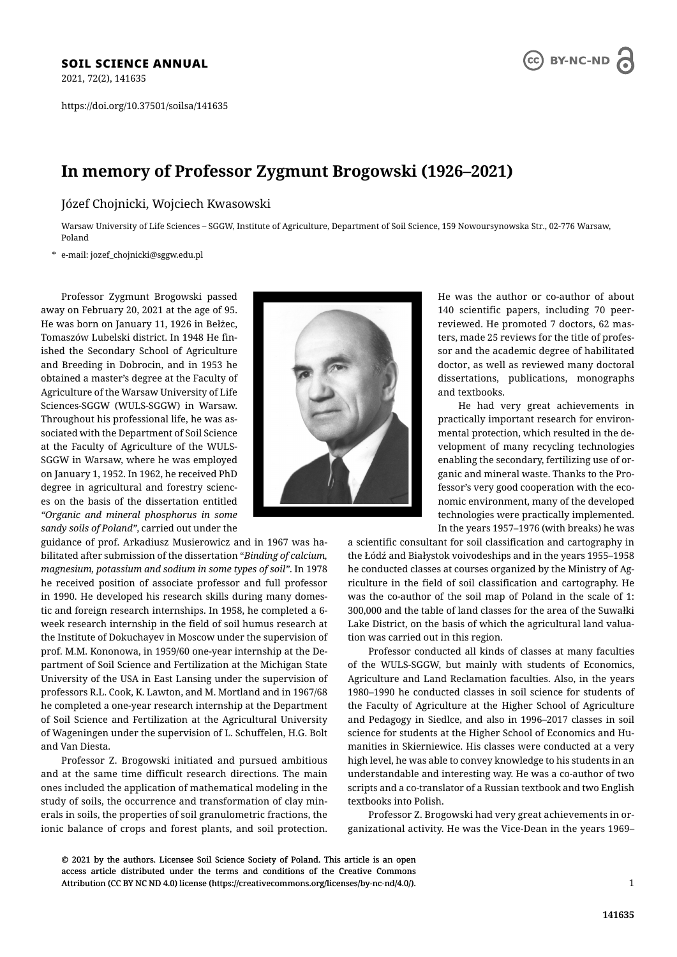2021, 72(2), 141635

https://doi.org/10.37501/soilsa/141635



# **In memory of Professor Zygmunt Brogowski (1926–2021)**

Józef Chojnicki, Wojciech Kwasowski

Warsaw University of Life Sciences – SGGW, Institute of Agriculture, Department of Soil Science, 159 Nowoursynowska Str., 02-776 Warsaw, Poland

\* e-mail: jozef\_chojnicki@sggw.edu.pl

Professor Zygmunt Brogowski passed away on February 20, 2021 at the age of 95. He was born on January 11, 1926 in Bełżec, Tomaszów Lubelski district. In 1948 He finished the Secondary School of Agriculture and Breeding in Dobrocin, and in 1953 he obtained a master's degree at the Faculty of Agriculture of the Warsaw University of Life Sciences-SGGW (WULS-SGGW) in Warsaw. Throughout his professional life, he was associated with the Department of Soil Science at the Faculty of Agriculture of the WULS-SGGW in Warsaw, where he was employed on January 1, 1952. In 1962, he received PhD degree in agricultural and forestry sciences on the basis of the dissertation entitled *"Organic and mineral phosphorus in some sandy soils of Poland"*, carried out under the

guidance of prof. Arkadiusz Musierowicz and in 1967 was habilitated after submission of the dissertation "*Binding of calcium, magnesium, potassium and sodium in some types of soil"*. In 1978 he received position of associate professor and full professor in 1990. He developed his research skills during many domestic and foreign research internships. In 1958, he completed a 6 week research internship in the field of soil humus research at the Institute of Dokuchayev in Moscow under the supervision of prof. M.M. Kononowa, in 1959/60 one-year internship at the Department of Soil Science and Fertilization at the Michigan State University of the USA in East Lansing under the supervision of professors R.L. Cook, K. Lawton, and M. Mortland and in 1967/68 he completed a one-year research internship at the Department of Soil Science and Fertilization at the Agricultural University of Wageningen under the supervision of L. Schuffelen, H.G. Bolt and Van Diesta.

Professor Z. Brogowski initiated and pursued ambitious and at the same time difficult research directions. The main ones included the application of mathematical modeling in the study of soils, the occurrence and transformation of clay minerals in soils, the properties of soil granulometric fractions, the ionic balance of crops and forest plants, and soil protection.



He was the author or co-author of about 140 scientific papers, including 70 peerreviewed. He promoted 7 doctors, 62 masters, made 25 reviews for the title of professor and the academic degree of habilitated doctor, as well as reviewed many doctoral dissertations, publications, monographs and textbooks.

He had very great achievements in practically important research for environmental protection, which resulted in the development of many recycling technologies enabling the secondary, fertilizing use of organic and mineral waste. Thanks to the Professor's very good cooperation with the economic environment, many of the developed technologies were practically implemented. In the years 1957–1976 (with breaks) he was

a scientific consultant for soil classification and cartography in the Łódź and Białystok voivodeships and in the years 1955–1958 he conducted classes at courses organized by the Ministry of Agriculture in the field of soil classification and cartography. He was the co-author of the soil map of Poland in the scale of 1: 300,000 and the table of land classes for the area of the Suwałki Lake District, on the basis of which the agricultural land valuation was carried out in this region.

Professor conducted all kinds of classes at many faculties of the WULS-SGGW, but mainly with students of Economics, Agriculture and Land Reclamation faculties. Also, in the years 1980–1990 he conducted classes in soil science for students of the Faculty of Agriculture at the Higher School of Agriculture and Pedagogy in Siedlce, and also in 1996–2017 classes in soil science for students at the Higher School of Economics and Humanities in Skierniewice. His classes were conducted at a very high level, he was able to convey knowledge to his students in an understandable and interesting way. He was a co-author of two scripts and a co-translator of a Russian textbook and two English textbooks into Polish.

Professor Z. Brogowski had very great achievements in organizational activity. He was the Vice-Dean in the years 1969–

© 2021 by the authors. Licensee Soil Science Society of Poland. This article is an open access article distributed under the terms and conditions of the Creative Commons Attribution (CC BY NC ND 4.0) license (https://creativecommons.org/licenses/by-nc-nd/4.0/).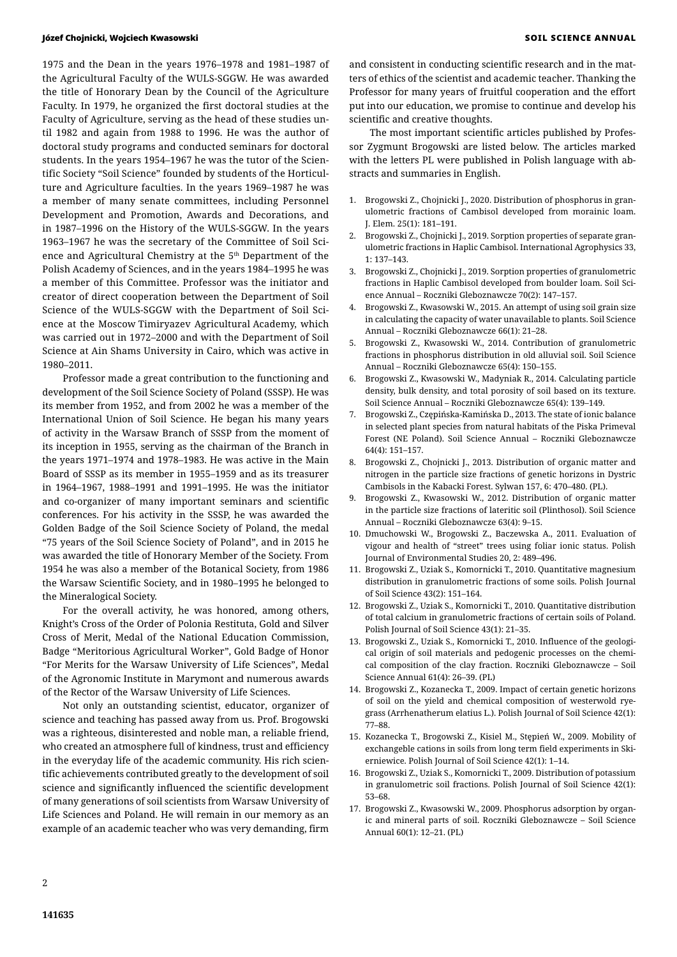### Józef Chojnicki, Wojciech Kwasowski SOIL SCIENCE ANNUAL

1975 and the Dean in the years 1976–1978 and 1981–1987 of the Agricultural Faculty of the WULS-SGGW. He was awarded the title of Honorary Dean by the Council of the Agriculture Faculty. In 1979, he organized the first doctoral studies at the Faculty of Agriculture, serving as the head of these studies until 1982 and again from 1988 to 1996. He was the author of doctoral study programs and conducted seminars for doctoral students. In the years 1954–1967 he was the tutor of the Scientific Society "Soil Science" founded by students of the Horticulture and Agriculture faculties. In the years 1969–1987 he was a member of many senate committees, including Personnel Development and Promotion, Awards and Decorations, and in 1987–1996 on the History of the WULS-SGGW. In the years 1963–1967 he was the secretary of the Committee of Soil Science and Agricultural Chemistry at the 5<sup>th</sup> Department of the Polish Academy of Sciences, and in the years 1984–1995 he was a member of this Committee. Professor was the initiator and creator of direct cooperation between the Department of Soil Science of the WULS-SGGW with the Department of Soil Science at the Moscow Timiryazev Agricultural Academy, which was carried out in 1972–2000 and with the Department of Soil Science at Ain Shams University in Cairo, which was active in 1980–2011.

Professor made a great contribution to the functioning and development of the Soil Science Society of Poland (SSSP). He was its member from 1952, and from 2002 he was a member of the International Union of Soil Science. He began his many years of activity in the Warsaw Branch of SSSP from the moment of its inception in 1955, serving as the chairman of the Branch in the years 1971–1974 and 1978–1983. He was active in the Main Board of SSSP as its member in 1955–1959 and as its treasurer in 1964–1967, 1988–1991 and 1991–1995. He was the initiator and co-organizer of many important seminars and scientific conferences. For his activity in the SSSP, he was awarded the Golden Badge of the Soil Science Society of Poland, the medal "75 years of the Soil Science Society of Poland", and in 2015 he was awarded the title of Honorary Member of the Society. From 1954 he was also a member of the Botanical Society, from 1986 the Warsaw Scientific Society, and in 1980–1995 he belonged to the Mineralogical Society.

For the overall activity, he was honored, among others, Knight's Cross of the Order of Polonia Restituta, Gold and Silver Cross of Merit, Medal of the National Education Commission, Badge "Meritorious Agricultural Worker", Gold Badge of Honor "For Merits for the Warsaw University of Life Sciences", Medal of the Agronomic Institute in Marymont and numerous awards of the Rector of the Warsaw University of Life Sciences.

Not only an outstanding scientist, educator, organizer of science and teaching has passed away from us. Prof. Brogowski was a righteous, disinterested and noble man, a reliable friend, who created an atmosphere full of kindness, trust and efficiency in the everyday life of the academic community. His rich scientific achievements contributed greatly to the development of soil science and significantly influenced the scientific development of many generations of soil scientists from Warsaw University of Life Sciences and Poland. He will remain in our memory as an example of an academic teacher who was very demanding, firm

and consistent in conducting scientific research and in the matters of ethics of the scientist and academic teacher. Thanking the Professor for many years of fruitful cooperation and the effort put into our education, we promise to continue and develop his scientific and creative thoughts.

The most important scientific articles published by Professor Zygmunt Brogowski are listed below. The articles marked with the letters PL were published in Polish language with abstracts and summaries in English.

- 1. Brogowski Z., Chojnicki J., 2020. Distribution of phosphorus in granulometric fractions of Cambisol developed from morainic loam. J. Elem. 25(1): 181–191.
- 2. Brogowski Z., Chojnicki J., 2019. Sorption properties of separate granulometric fractions in Haplic Cambisol. International Agrophysics 33, 1: 137–143.
- 3. Brogowski Z., Chojnicki J., 2019. Sorption properties of granulometric fractions in Haplic Cambisol developed from boulder loam. Soil Science Annual – Roczniki Gleboznawcze 70(2): 147–157.
- 4. Brogowski Z., Kwasowski W., 2015. An attempt of using soil grain size in calculating the capacity of water unavailable to plants. Soil Science Annual – Roczniki Gleboznawcze 66(1): 21–28.
- 5. Brogowski Z., Kwasowski W., 2014. Contribution of granulometric fractions in phosphorus distribution in old alluvial soil. Soil Science Annual – Roczniki Gleboznawcze 65(4): 150–155.
- 6. Brogowski Z., Kwasowski W., Madyniak R., 2014. Calculating particle density, bulk density, and total porosity of soil based on its texture. Soil Science Annual – Roczniki Gleboznawcze 65(4): 139–149.
- 7. Brogowski Z., Czępińska-Kamińska D., 2013. The state of ionic balance in selected plant species from natural habitats of the Piska Primeval Forest (NE Poland). Soil Science Annual – Roczniki Gleboznawcze 64(4): 151–157.
- 8. Brogowski Z., Chojnicki J., 2013. Distribution of organic matter and nitrogen in the particle size fractions of genetic horizons in Dystric Cambisols in the Kabacki Forest. Sylwan 157, 6: 470–480. (PL).
- 9. Brogowski Z., Kwasowski W., 2012. Distribution of organic matter in the particle size fractions of lateritic soil (Plinthosol). Soil Science Annual – Roczniki Gleboznawcze 63(4): 9–15.
- 10. Dmuchowski W., Brogowski Z., Baczewska A., 2011. Evaluation of vigour and health of "street" trees using foliar ionic status. Polish Journal of Environmental Studies 20, 2: 489–496.
- 11. Brogowski Z., Uziak S., Komornicki T., 2010. Quantitative magnesium distribution in granulometric fractions of some soils. Polish Journal of Soil Science 43(2): 151–164.
- 12. Brogowski Z., Uziak S., Komornicki T., 2010. Quantitative distribution of total calcium in granulometric fractions of certain soils of Poland. Polish Journal of Soil Science 43(1): 21–35.
- 13. Brogowski Z., Uziak S., Komornicki T., 2010. Influence of the geological origin of soil materials and pedogenic processes on the chemical composition of the clay fraction. Roczniki Gleboznawcze – Soil Science Annual 61(4): 26–39. (PL)
- 14. Brogowski Z., Kozanecka T., 2009. Impact of certain genetic horizons of soil on the yield and chemical composition of westerwold ryegrass (Arrhenatherum elatius L.). Polish Journal of Soil Science 42(1): 77–88.
- 15. Kozanecka T., Brogowski Z., Kisiel M., Stępień W., 2009. Mobility of exchangeble cations in soils from long term field experiments in Skierniewice. Polish Journal of Soil Science 42(1): 1–14.
- 16. Brogowski Z., Uziak S., Komornicki T., 2009. Distribution of potassium in granulometric soil fractions. Polish Journal of Soil Science 42(1): 53–68.
- 17. Brogowski Z., Kwasowski W., 2009. Phosphorus adsorption by organic and mineral parts of soil. Roczniki Gleboznawcze – Soil Science Annual 60(1): 12–21. (PL)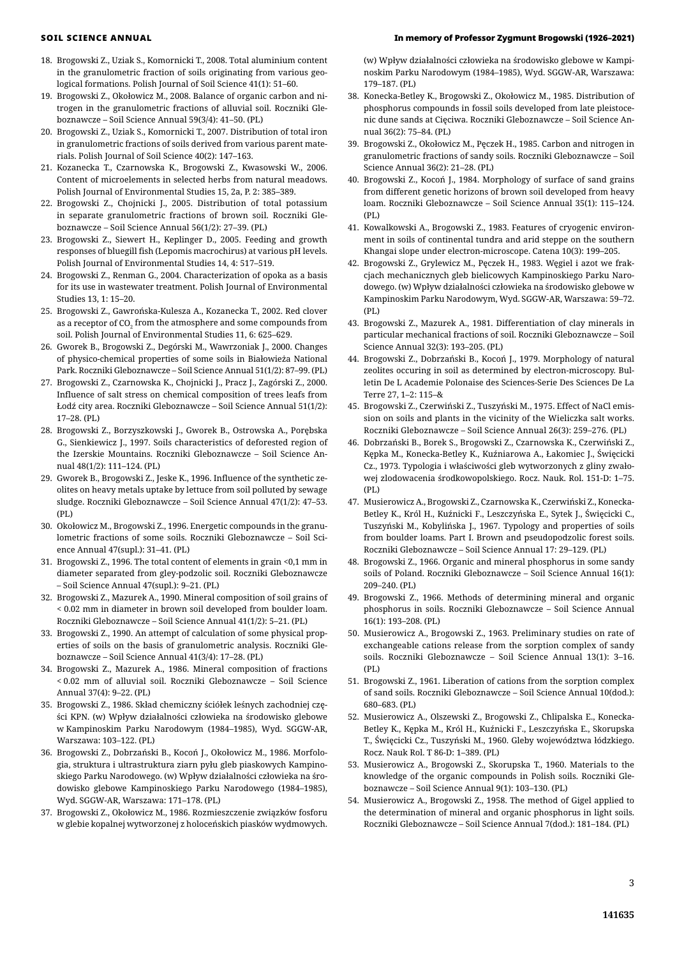- 18. Brogowski Z., Uziak S., Komornicki T., 2008. Total aluminium content in the granulometric fraction of soils originating from various geological formations. Polish Journal of Soil Science 41(1): 51–60.
- 19. Brogowski Z., Okołowicz M., 2008. Balance of organic carbon and nitrogen in the granulometric fractions of alluvial soil. Roczniki Gleboznawcze – Soil Science Annual 59(3/4): 41–50. (PL)
- 20. Brogowski Z., Uziak S., Komornicki T., 2007. Distribution of total iron in granulometric fractions of soils derived from various parent materials. Polish Journal of Soil Science 40(2): 147–163.
- 21. Kozanecka T., Czarnowska K., Brogowski Z., Kwasowski W., 2006. Content of microelements in selected herbs from natural meadows. Polish Journal of Environmental Studies 15, 2a, P. 2: 385–389.
- 22. Brogowski Z., Chojnicki J., 2005. Distribution of total potassium in separate granulometric fractions of brown soil. Roczniki Gleboznawcze – Soil Science Annual 56(1/2): 27–39. (PL)
- 23. Brogowski Z., Siewert H., Keplinger D., 2005. Feeding and growth responses of bluegill fish (Lepomis macrochirus) at various pH levels. Polish Journal of Environmental Studies 14, 4: 517–519.
- 24. Brogowski Z., Renman G., 2004. Characterization of opoka as a basis for its use in wastewater treatment. Polish Journal of Environmental Studies 13, 1: 15–20.
- 25. Brogowski Z., Gawrońska-Kulesza A., Kozanecka T., 2002. Red clover as a receptor of CO $_{\textrm{\tiny{2}}}$  from the atmosphere and some compounds from soil. Polish Journal of Environmental Studies 11, 6: 625–629.
- 26. Gworek В., Brogowski Z., Degórski M., Wawrzoniak J., 2000. Changes of physico-chemical properties of some soils in Białowieża National Park. Roczniki Gleboznawcze – Soil Science Annual 51(1/2): 87–99. (PL)
- 27. Brogowski Z., Czarnowska K., Chojnicki J., Pracz J., Zagórski Z., 2000. Influence of salt stress on chemical composition of trees leafs from Łodź city area. Roczniki Gleboznawcze – Soil Science Annual 51(1/2): 17–28. (PL)
- 28. Brogowski Z., Borzyszkowski J., Gworek B., Ostrowska A., Porębska G., Sienkiewicz J., 1997. Soils characteristics of deforested region of the Izerskie Mountains. Roczniki Gleboznawcze – Soil Science Annual 48(1/2): 111–124. (PL)
- 29. Gworek B., Brogowski Z., Jeske K., 1996. Influence of the synthetic zeolites on heavy metals uptake by lettuce from soil polluted by sewage sludge. Roczniki Gleboznawcze – Soil Science Annual 47(1/2): 47–53. (PL)
- 30. Okołowicz M., Brogowski Z., 1996. Energetic compounds in the granulometric fractions of some soils. Roczniki Gleboznawcze – Soil Science Annual 47(supl.): 31–41. (PL)
- 31. Brogowski Z., 1996. The total content of elements in grain <0,1 mm in diameter separated from gley-podzolic soil. Roczniki Gleboznawcze – Soil Science Annual 47(supl.): 9–21. (PL)
- 32. Brogowski Z., Mazurek A., 1990. Mineral composition of soil grains of < 0.02 mm in diameter in brown soil developed from boulder loam. Roczniki Gleboznawcze – Soil Science Annual 41(1/2): 5–21. (PL)
- 33. Brogowski Z., 1990. An attempt of calculation of some physical properties of soils on the basis of granulometric analysis. Roczniki Gleboznawcze – Soil Science Annual 41(3/4): 17–28. (PL)
- 34. Brogowski Z., Mazurek A., 1986. Mineral composition of fractions < 0.02 mm of alluvial soil. Roczniki Gleboznawcze – Soil Science Annual 37(4): 9–22. (PL)
- 35. Brogowski Z., 1986. Skład chemiczny ściółek leśnych zachodniej części KPN. (w) Wpływ działalności człowieka na środowisko glebowe w Kampinoskim Parku Narodowym (1984–1985), Wyd. SGGW-AR, Warszawa: 103–122. (PL)
- 36. Brogowski Z., Dobrzański B., Kocoń J., Okołowicz M., 1986. Morfologia, struktura i ultrastruktura ziarn pyłu gleb piaskowych Kampinoskiego Parku Narodowego. (w) Wpływ działalności człowieka na środowisko glebowe Kampinoskiego Parku Narodowego (1984–1985), Wyd. SGGW-AR, Warszawa: 171–178. (PL)
- 37. Brogowski Z., Okołowicz M., 1986. Rozmieszczenie związków fosforu w glebie kopalnej wytworzonej z holoceńskich piasków wydmowych.

## SOIL SCIENCE ANNUAL In memory of Professor Zygmunt Brogowski (1926–2021)

(w) Wpływ działalności człowieka na środowisko glebowe w Kampinoskim Parku Narodowym (1984–1985), Wyd. SGGW-AR, Warszawa: 179–187. (PL)

- 38. Konecka-Betley K., Brogowski Z., Okołowicz M., 1985. Distribution of phosphorus compounds in fossil soils developed from late pleistocenic dune sands at Cięciwa. Roczniki Gleboznawcze – Soil Science Annual 36(2): 75–84. (PL)
- 39. Brogowski Z., Okołowicz М., Pęczek H., 1985. Carbon and nitrogen in granulometric fractions of sandy soils. Roczniki Gleboznawcze – Soil Science Annual 36(2): 21–28. (PL)
- 40. Brogowski Z., Kocoń J., 1984. Morphology of surface of sand grains from different genetic horizons of brown soil developed from heavy loam. Roczniki Gleboznawcze – Soil Science Annual 35(1): 115–124. (PL)
- 41. Kowalkowski A., Brogowski Z., 1983. Features of cryogenic environment in soils of continental tundra and arid steppe on the southern Khangai slope under electron-microscope. Catena 10(3): 199–205.
- 42. Brogowski Z., Grylewicz M., Pęczek H., 1983. Węgiel i azot we frakcjach mechanicznych gleb bielicowych Kampinoskiego Parku Narodowego. (w) Wpływ działalności człowieka na środowisko glebowe w Kampinoskim Parku Narodowym, Wyd. SGGW-AR, Warszawa: 59–72. (PL)
- 43. Brogowski Z., Mazurek A., 1981. Differentiation of clay minerals in particular mechanical fractions of soil. Roczniki Gleboznawcze – Soil Science Annual 32(3): 193–205. (PL)
- 44. Brogowski Z., Dobrzański B., Kocoń J., 1979. Morphology of natural zeolites occuring in soil as determined by electron-microscopy. Bulletin De L Academie Polonaise des Sciences-Serie Des Sciences De La Terre 27, 1–2: 115–&
- 45. Brogowski Z., Czerwiński Z., Tuszyński M., 1975. Effect of NaCl emission on soils and plants in the vicinity of the Wieliczka salt works. Roczniki Gleboznawcze – Soil Science Annual 26(3): 259–276. (PL)
- 46. Dobrzański B., Borek S., Brogowski Z., Czarnowska K., Czerwiński Z., Kępka M., Konecka-Betley K., Kuźniarowa A., Łakomiec J., Święcicki Cz., 1973. Typologia i właściwości gleb wytworzonych z gliny zwałowej zlodowacenia środkowopolskiego. Rocz. Nauk. Rol. 151-D: 1–75. (PL)
- 47. Musierowicz A., Brogowski Z., Czarnowska K., Czerwiński Z., Konecka-Betley K., Król H., Kuźnicki F., Leszczyńska E., Sytek J., Święcicki C., Tuszyński M., Kobylińska J., 1967. Typology and properties of soils from boulder loams. Part I. Brown and pseudopodzolic forest soils. Roczniki Gleboznawcze – Soil Science Annual 17: 29–129. (PL)
- 48. Brogowski Z., 1966. Organic and mineral phosphorus in some sandy soils of Poland. Roczniki Gleboznawcze – Soil Science Annual 16(1): 209–240. (PL)
- 49. Brogowski Z., 1966. Methods of determining mineral and organic phosphorus in soils. Roczniki Gleboznawcze – Soil Science Annual 16(1): 193–208. (PL)
- 50. Musierowicz A., Brogowski Z., 1963. Preliminary studies on rate of exchangeable cations release from the sorption complex of sandy soils. Roczniki Gleboznawcze – Soil Science Annual 13(1): 3–16. (PL)
- 51. Brogowski Z., 1961. Liberation of cations from the sorption complex of sand soils. Roczniki Gleboznawcze – Soil Science Annual 10(dod.): 680–683. (PL)
- 52. Musierowicz A., Olszewski Z., Brogowski Z., Chlipalska E., Konecka-Betley K., Kępka M., Król H., Kuźnicki F., Leszczyńska E., Skorupska T., Święcicki Cz., Tuszyński M., 1960. Gleby województwa łódzkiego. Rocz. Nauk Rol. T 86-D: 1–389. (PL)
- 53. Musierowicz A., Brogowski Z., Skorupska T., 1960. Materials to the knowledge of the organic compounds in Polish soils. Roczniki Gleboznawcze – Soil Science Annual 9(1): 103–130. (PL)
- 54. Musierowicz A., Brogowski Z., 1958. The method of Gigel applied to the determination of mineral and organic phosphorus in light soils. Roczniki Gleboznawcze – Soil Science Annual 7(dod.): 181–184. (PL)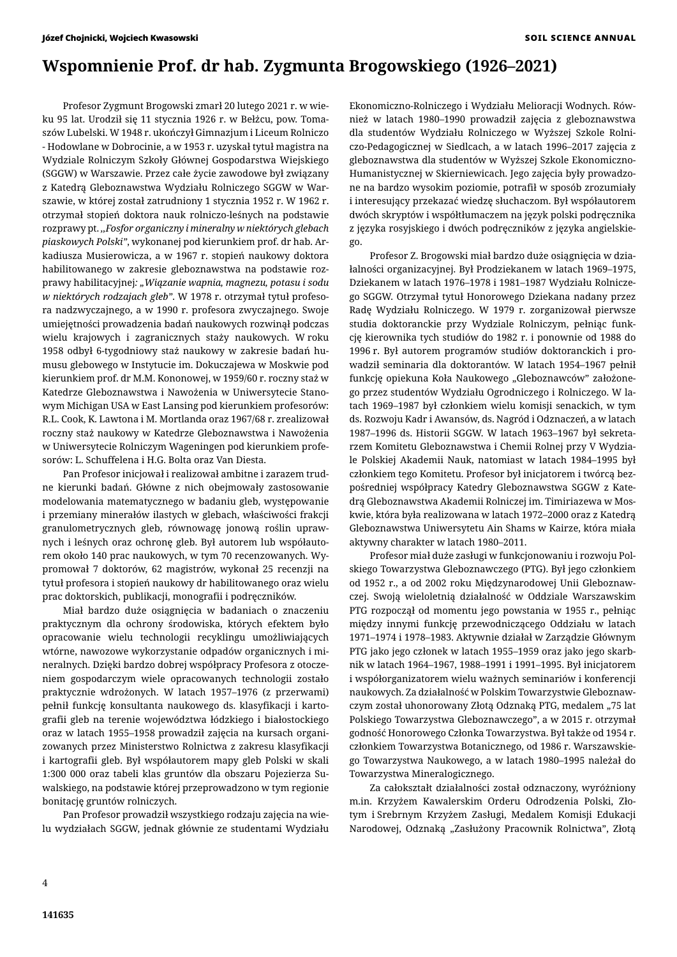# **Wspomnienie Prof. dr hab. Zygmunta Brogowskiego (1926–2021)**

Profesor Zygmunt Brogowski zmarł 20 lutego 2021 r. w wieku 95 lat. Urodził się 11 stycznia 1926 r. w Bełżcu, pow. Tomaszów Lubelski. W 1948 r. ukończył Gimnazjum i Liceum Rolniczo - Hodowlane w Dobrocinie, a w 1953 r. uzyskał tytuł magistra na Wydziale Rolniczym Szkoły Głównej Gospodarstwa Wiejskiego (SGGW) w Warszawie. Przez całe życie zawodowe był związany z Katedrą Gleboznawstwa Wydziału Rolniczego SGGW w Warszawie, w której został zatrudniony 1 stycznia 1952 r. W 1962 r. otrzymał stopień doktora nauk rolniczo-leśnych na podstawie rozprawy pt. *,,Fosfor organiczny i mineralny w niektórych glebach piaskowych Polski"*, wykonanej pod kierunkiem prof. dr hab. Arkadiusza Musierowicza, a w 1967 r. stopień naukowy doktora habilitowanego w zakresie gleboznawstwa na podstawie rozprawy habilitacyjnej*: "Wiązanie wapnia, magnezu, potasu i sodu w niektórych rodzajach gleb"*. W 1978 r. otrzymał tytuł profesora nadzwyczajnego, a w 1990 r. profesora zwyczajnego. Swoje umiejętności prowadzenia badań naukowych rozwinął podczas wielu krajowych i zagranicznych staży naukowych. W roku 1958 odbył 6-tygodniowy staż naukowy w zakresie badań humusu glebowego w Instytucie im. Dokuczajewa w Moskwie pod kierunkiem prof. dr M.M. Kononowej, w 1959/60 r. roczny staż w Katedrze Gleboznawstwa i Nawożenia w Uniwersytecie Stanowym Michigan USA w East Lansing pod kierunkiem profesorów: R.L. Cook, K. Lawtona i M. Mortlanda oraz 1967/68 r. zrealizował roczny staż naukowy w Katedrze Gleboznawstwa i Nawożenia w Uniwersytecie Rolniczym Wageningen pod kierunkiem profesorów: L. Schuffelena i H.G. Bolta oraz Van Diesta.

Pan Profesor inicjował i realizował ambitne i zarazem trudne kierunki badań. Główne z nich obejmowały zastosowanie modelowania matematycznego w badaniu gleb, występowanie i przemiany minerałów ilastych w glebach, właściwości frakcji granulometrycznych gleb, równowagę jonową roślin uprawnych i leśnych oraz ochronę gleb. Był autorem lub współautorem około 140 prac naukowych, w tym 70 recenzowanych. Wypromował 7 doktorów, 62 magistrów, wykonał 25 recenzji na tytuł profesora i stopień naukowy dr habilitowanego oraz wielu prac doktorskich, publikacji, monografii i podręczników.

Miał bardzo duże osiągnięcia w badaniach o znaczeniu praktycznym dla ochrony środowiska, których efektem było opracowanie wielu technologii recyklingu umożliwiających wtórne, nawozowe wykorzystanie odpadów organicznych i mineralnych. Dzięki bardzo dobrej współpracy Profesora z otoczeniem gospodarczym wiele opracowanych technologii zostało praktycznie wdrożonych. W latach 1957–1976 (z przerwami) pełnił funkcję konsultanta naukowego ds. klasyfikacji i kartografii gleb na terenie województwa łódzkiego i białostockiego oraz w latach 1955–1958 prowadził zajęcia na kursach organizowanych przez Ministerstwo Rolnictwa z zakresu klasyfikacji i kartografii gleb. Był współautorem mapy gleb Polski w skali 1:300 000 oraz tabeli klas gruntów dla obszaru Pojezierza Suwalskiego, na podstawie której przeprowadzono w tym regionie bonitację gruntów rolniczych.

Pan Profesor prowadził wszystkiego rodzaju zajęcia na wielu wydziałach SGGW, jednak głównie ze studentami Wydziału Ekonomiczno-Rolniczego i Wydziału Melioracji Wodnych. Również w latach 1980–1990 prowadził zajęcia z gleboznawstwa dla studentów Wydziału Rolniczego w Wyższej Szkole Rolniczo-Pedagogicznej w Siedlcach, a w latach 1996–2017 zajęcia z gleboznawstwa dla studentów w Wyższej Szkole Ekonomiczno-Humanistycznej w Skierniewicach. Jego zajęcia były prowadzone na bardzo wysokim poziomie, potrafił w sposób zrozumiały i interesujący przekazać wiedzę słuchaczom. Był współautorem dwóch skryptów i współtłumaczem na język polski podręcznika z języka rosyjskiego i dwóch podręczników z języka angielskiego.

Profesor Z. Brogowski miał bardzo duże osiągnięcia w działalności organizacyjnej. Był Prodziekanem w latach 1969–1975, Dziekanem w latach 1976–1978 i 1981–1987 Wydziału Rolniczego SGGW. Otrzymał tytuł Honorowego Dziekana nadany przez Radę Wydziału Rolniczego. W 1979 r. zorganizował pierwsze studia doktoranckie przy Wydziale Rolniczym, pełniąc funkcję kierownika tych studiów do 1982 r. i ponownie od 1988 do 1996 r. Był autorem programów studiów doktoranckich i prowadził seminaria dla doktorantów. W latach 1954–1967 pełnił funkcję opiekuna Koła Naukowego "Gleboznawców" założonego przez studentów Wydziału Ogrodniczego i Rolniczego. W latach 1969–1987 był członkiem wielu komisji senackich, w tym ds. Rozwoju Kadr i Awansów, ds. Nagród i Odznaczeń, a w latach 1987–1996 ds. Historii SGGW. W latach 1963–1967 był sekretarzem Komitetu Gleboznawstwa i Chemii Rolnej przy V Wydziale Polskiej Akademii Nauk, natomiast w latach 1984–1995 był członkiem tego Komitetu. Profesor był inicjatorem i twórcą bezpośredniej współpracy Katedry Gleboznawstwa SGGW z Katedrą Gleboznawstwa Akademii Rolniczej im. Timiriazewa w Moskwie, która była realizowana w latach 1972–2000 oraz z Katedrą Gleboznawstwa Uniwersytetu Ain Shams w Kairze, która miała aktywny charakter w latach 1980–2011.

Profesor miał duże zasługi w funkcjonowaniu i rozwoju Polskiego Towarzystwa Gleboznawczego (PTG). Był jego członkiem od 1952 r., a od 2002 roku Międzynarodowej Unii Gleboznawczej. Swoją wieloletnią działalność w Oddziale Warszawskim PTG rozpoczął od momentu jego powstania w 1955 r., pełniąc między innymi funkcję przewodniczącego Oddziału w latach 1971–1974 i 1978–1983. Aktywnie działał w Zarządzie Głównym PTG jako jego członek w latach 1955–1959 oraz jako jego skarbnik w latach 1964–1967, 1988–1991 i 1991–1995. Był inicjatorem i współorganizatorem wielu ważnych seminariów i konferencji naukowych. Za działalność w Polskim Towarzystwie Gleboznawczym został uhonorowany Złotą Odznaką PTG, medalem "75 lat Polskiego Towarzystwa Gleboznawczego", a w 2015 r. otrzymał godność Honorowego Członka Towarzystwa. Był także od 1954 r. członkiem Towarzystwa Botanicznego, od 1986 r. Warszawskiego Towarzystwa Naukowego, a w latach 1980–1995 należał do Towarzystwa Mineralogicznego.

Za całokształt działalności został odznaczony, wyróżniony m.in. Krzyżem Kawalerskim Orderu Odrodzenia Polski, Złotym i Srebrnym Krzyżem Zasługi, Medalem Komisji Edukacji Narodowej, Odznaką "Zasłużony Pracownik Rolnictwa", Złotą